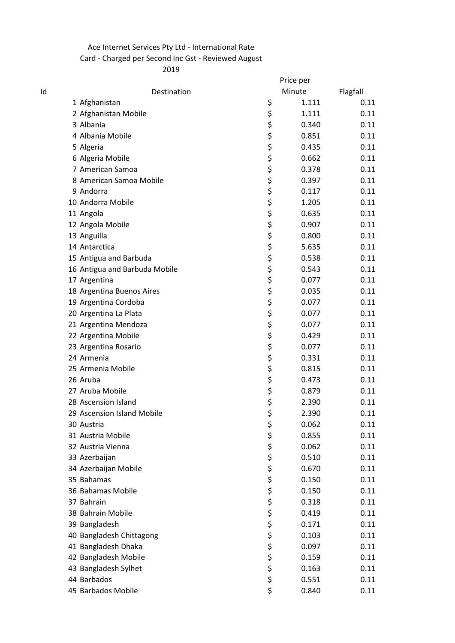## Ace Internet Services Pty Ltd - International Rate Card - Charged per Second Inc Gst - Reviewed August

|    |                               | Price per   |          |
|----|-------------------------------|-------------|----------|
| Id | Destination                   | Minute      | Flagfall |
|    | 1 Afghanistan                 | \$<br>1.111 | 0.11     |
|    | 2 Afghanistan Mobile          | \$<br>1.111 | 0.11     |
|    | 3 Albania                     | \$<br>0.340 | 0.11     |
|    | 4 Albania Mobile              | \$<br>0.851 | 0.11     |
|    | 5 Algeria                     | \$<br>0.435 | 0.11     |
|    | 6 Algeria Mobile              | \$<br>0.662 | 0.11     |
|    | 7 American Samoa              | \$<br>0.378 | 0.11     |
|    | 8 American Samoa Mobile       | \$<br>0.397 | 0.11     |
|    | 9 Andorra                     | \$<br>0.117 | 0.11     |
|    | 10 Andorra Mobile             | \$<br>1.205 | 0.11     |
|    | 11 Angola                     | \$<br>0.635 | 0.11     |
|    | 12 Angola Mobile              | \$<br>0.907 | 0.11     |
|    | 13 Anguilla                   | \$<br>0.800 | 0.11     |
|    | 14 Antarctica                 | \$<br>5.635 | 0.11     |
|    | 15 Antigua and Barbuda        | \$<br>0.538 | 0.11     |
|    | 16 Antigua and Barbuda Mobile | \$<br>0.543 | 0.11     |
|    | 17 Argentina                  | \$<br>0.077 | 0.11     |
|    | 18 Argentina Buenos Aires     | \$<br>0.035 | 0.11     |
|    | 19 Argentina Cordoba          | \$<br>0.077 | 0.11     |
|    | 20 Argentina La Plata         | \$<br>0.077 | 0.11     |
|    | 21 Argentina Mendoza          | \$<br>0.077 | 0.11     |
|    | 22 Argentina Mobile           | \$<br>0.429 | 0.11     |
|    | 23 Argentina Rosario          | \$<br>0.077 | 0.11     |
|    | 24 Armenia                    | \$<br>0.331 | 0.11     |
|    | 25 Armenia Mobile             | \$<br>0.815 | 0.11     |
|    | 26 Aruba                      | \$<br>0.473 | 0.11     |
|    | 27 Aruba Mobile               | \$<br>0.879 | 0.11     |
|    | 28 Ascension Island           | \$<br>2.390 | 0.11     |
|    | 29 Ascension Island Mobile    | \$<br>2.390 | 0.11     |
|    | 30 Austria                    | \$<br>0.062 | 0.11     |
|    | 31 Austria Mobile             | \$<br>0.855 | 0.11     |
|    | 32 Austria Vienna             | \$<br>0.062 | 0.11     |
|    | 33 Azerbaijan                 | \$<br>0.510 | 0.11     |
|    | 34 Azerbaijan Mobile          | \$<br>0.670 | 0.11     |
|    | 35 Bahamas                    | \$<br>0.150 | 0.11     |
|    | 36 Bahamas Mobile             | \$<br>0.150 | 0.11     |
|    | 37 Bahrain                    | \$<br>0.318 | 0.11     |
|    | 38 Bahrain Mobile             | \$<br>0.419 | 0.11     |
|    | 39 Bangladesh                 | \$<br>0.171 | 0.11     |
|    | 40 Bangladesh Chittagong      | \$<br>0.103 | 0.11     |
|    | 41 Bangladesh Dhaka           | \$<br>0.097 | 0.11     |
|    | 42 Bangladesh Mobile          | \$<br>0.159 | 0.11     |
|    | 43 Bangladesh Sylhet          | \$<br>0.163 | 0.11     |
|    | 44 Barbados                   | \$<br>0.551 | 0.11     |
|    | 45 Barbados Mobile            | \$<br>0.840 | 0.11     |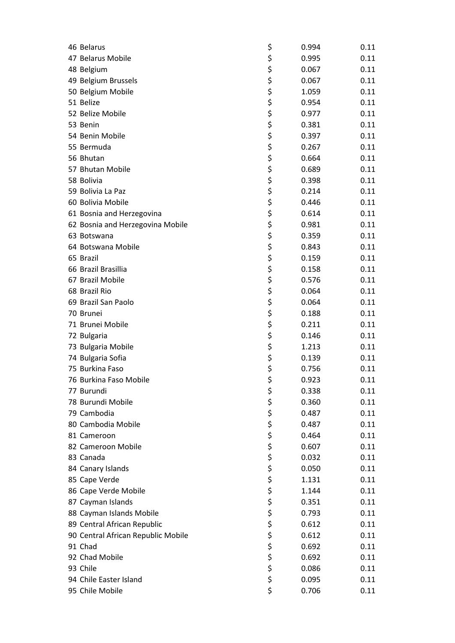| 46 Belarus                         | \$       | 0.994 | 0.11 |
|------------------------------------|----------|-------|------|
| 47 Belarus Mobile                  | \$       | 0.995 | 0.11 |
| 48 Belgium                         | \$       | 0.067 | 0.11 |
| 49 Belgium Brussels                | \$       | 0.067 | 0.11 |
| 50 Belgium Mobile                  | \$       | 1.059 | 0.11 |
| 51 Belize                          | \$       | 0.954 | 0.11 |
| 52 Belize Mobile                   | \$       | 0.977 | 0.11 |
| 53 Benin                           | \$       | 0.381 | 0.11 |
| 54 Benin Mobile                    | \$       | 0.397 | 0.11 |
| 55 Bermuda                         | \$       | 0.267 | 0.11 |
| 56 Bhutan                          | \$       | 0.664 | 0.11 |
| 57 Bhutan Mobile                   | \$       | 0.689 | 0.11 |
| 58 Bolivia                         | \$       | 0.398 | 0.11 |
| 59 Bolivia La Paz                  | \$       | 0.214 | 0.11 |
| 60 Bolivia Mobile                  | \$       | 0.446 | 0.11 |
| 61 Bosnia and Herzegovina          | \$       | 0.614 | 0.11 |
| 62 Bosnia and Herzegovina Mobile   | \$       | 0.981 | 0.11 |
| 63 Botswana                        | \$       | 0.359 | 0.11 |
| 64 Botswana Mobile                 | \$       | 0.843 | 0.11 |
| 65 Brazil                          | \$       | 0.159 | 0.11 |
| 66 Brazil Brasillia                | \$       | 0.158 | 0.11 |
| 67 Brazil Mobile                   | \$       | 0.576 | 0.11 |
| 68 Brazil Rio                      | \$       | 0.064 | 0.11 |
| 69 Brazil San Paolo                | \$       | 0.064 | 0.11 |
| 70 Brunei                          | \$       | 0.188 | 0.11 |
| 71 Brunei Mobile                   | \$       | 0.211 | 0.11 |
| 72 Bulgaria                        | \$       | 0.146 | 0.11 |
| 73 Bulgaria Mobile                 | \$       | 1.213 | 0.11 |
| 74 Bulgaria Sofia                  | \$       | 0.139 | 0.11 |
| 75 Burkina Faso                    | \$       | 0.756 | 0.11 |
| 76 Burkina Faso Mobile             | \$       | 0.923 | 0.11 |
| 77 Burundi                         | \$       | 0.338 | 0.11 |
| 78 Burundi Mobile                  | \$       | 0.360 | 0.11 |
| 79 Cambodia                        | \$       | 0.487 | 0.11 |
| 80 Cambodia Mobile                 | \$       | 0.487 | 0.11 |
| 81 Cameroon                        | \$       | 0.464 | 0.11 |
| 82 Cameroon Mobile                 | \$       | 0.607 | 0.11 |
| 83 Canada                          | \$       | 0.032 | 0.11 |
| 84 Canary Islands                  | \$       | 0.050 | 0.11 |
| 85 Cape Verde                      | \$       | 1.131 | 0.11 |
| 86 Cape Verde Mobile               | \$       | 1.144 | 0.11 |
| 87 Cayman Islands                  | \$       | 0.351 | 0.11 |
| 88 Cayman Islands Mobile           | \$       | 0.793 | 0.11 |
| 89 Central African Republic        | \$       | 0.612 | 0.11 |
| 90 Central African Republic Mobile | \$       | 0.612 | 0.11 |
| 91 Chad                            | \$       | 0.692 | 0.11 |
| 92 Chad Mobile                     |          | 0.692 | 0.11 |
| 93 Chile                           | \$<br>\$ | 0.086 | 0.11 |
| 94 Chile Easter Island             | \$       | 0.095 | 0.11 |
|                                    | \$       |       |      |
| 95 Chile Mobile                    |          | 0.706 | 0.11 |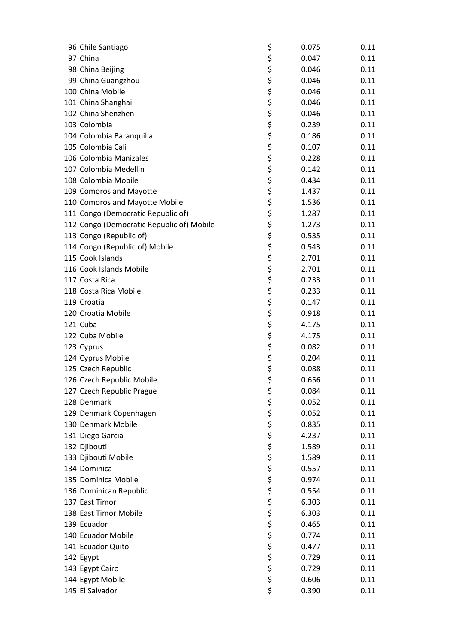| 96 Chile Santiago                         | \$       | 0.075 | 0.11 |
|-------------------------------------------|----------|-------|------|
| 97 China                                  | \$       | 0.047 | 0.11 |
| 98 China Beijing                          | \$       | 0.046 | 0.11 |
| 99 China Guangzhou                        | \$       | 0.046 | 0.11 |
| 100 China Mobile                          | \$       | 0.046 | 0.11 |
| 101 China Shanghai                        | \$       | 0.046 | 0.11 |
| 102 China Shenzhen                        | \$       | 0.046 | 0.11 |
| 103 Colombia                              | \$       | 0.239 | 0.11 |
| 104 Colombia Baranquilla                  | \$       | 0.186 | 0.11 |
| 105 Colombia Cali                         | \$       | 0.107 | 0.11 |
| 106 Colombia Manizales                    | \$       | 0.228 | 0.11 |
| 107 Colombia Medellin                     | \$       | 0.142 | 0.11 |
| 108 Colombia Mobile                       | \$       | 0.434 | 0.11 |
| 109 Comoros and Mayotte                   | \$       | 1.437 | 0.11 |
| 110 Comoros and Mayotte Mobile            | \$       | 1.536 | 0.11 |
| 111 Congo (Democratic Republic of)        | \$       | 1.287 | 0.11 |
| 112 Congo (Democratic Republic of) Mobile | \$       | 1.273 | 0.11 |
| 113 Congo (Republic of)                   | \$       | 0.535 | 0.11 |
| 114 Congo (Republic of) Mobile            | \$       | 0.543 | 0.11 |
| 115 Cook Islands                          | \$       | 2.701 | 0.11 |
| 116 Cook Islands Mobile                   | \$       | 2.701 | 0.11 |
| 117 Costa Rica                            | \$       | 0.233 | 0.11 |
| 118 Costa Rica Mobile                     | \$       | 0.233 | 0.11 |
| 119 Croatia                               | \$       | 0.147 | 0.11 |
| 120 Croatia Mobile                        | \$       | 0.918 | 0.11 |
| 121 Cuba                                  | \$       | 4.175 | 0.11 |
| 122 Cuba Mobile                           | \$       | 4.175 | 0.11 |
| 123 Cyprus                                | \$       | 0.082 | 0.11 |
| 124 Cyprus Mobile                         | \$       | 0.204 | 0.11 |
| 125 Czech Republic                        | \$       | 0.088 | 0.11 |
| 126 Czech Republic Mobile                 | \$       | 0.656 | 0.11 |
|                                           |          |       | 0.11 |
| 127 Czech Republic Prague<br>128 Denmark  | \$       | 0.084 |      |
|                                           | \$       | 0.052 | 0.11 |
| 129 Denmark Copenhagen                    | \$       | 0.052 | 0.11 |
| 130 Denmark Mobile                        | \$       | 0.835 | 0.11 |
| 131 Diego Garcia                          | \$       | 4.237 | 0.11 |
| 132 Djibouti                              | \$<br>\$ | 1.589 | 0.11 |
| 133 Djibouti Mobile                       |          | 1.589 | 0.11 |
| 134 Dominica                              | \$<br>\$ | 0.557 | 0.11 |
| 135 Dominica Mobile                       |          | 0.974 | 0.11 |
| 136 Dominican Republic                    | \$       | 0.554 | 0.11 |
| 137 East Timor                            | \$       | 6.303 | 0.11 |
| 138 East Timor Mobile                     | \$       | 6.303 | 0.11 |
| 139 Ecuador                               | \$<br>\$ | 0.465 | 0.11 |
| 140 Ecuador Mobile                        |          | 0.774 | 0.11 |
| 141 Ecuador Quito                         | \$       | 0.477 | 0.11 |
| 142 Egypt                                 | \$       | 0.729 | 0.11 |
| 143 Egypt Cairo                           | \$       | 0.729 | 0.11 |
| 144 Egypt Mobile                          | \$       | 0.606 | 0.11 |
| 145 El Salvador                           | \$       | 0.390 | 0.11 |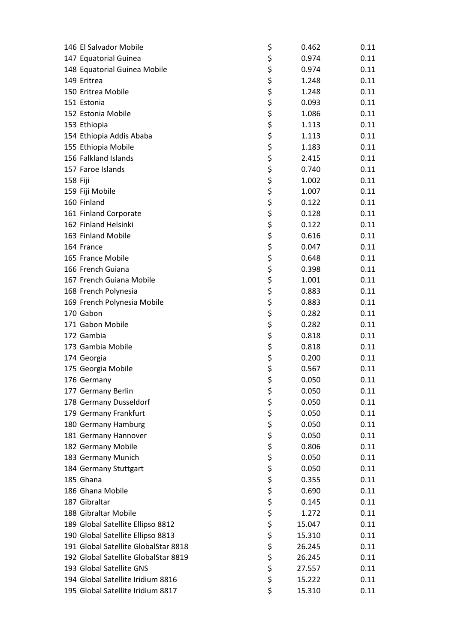| 146 El Salvador Mobile               | \$       | 0.462  | 0.11 |
|--------------------------------------|----------|--------|------|
| 147 Equatorial Guinea                | \$       | 0.974  | 0.11 |
| 148 Equatorial Guinea Mobile         | \$       | 0.974  | 0.11 |
| 149 Eritrea                          | \$       | 1.248  | 0.11 |
| 150 Eritrea Mobile                   | \$       | 1.248  | 0.11 |
| 151 Estonia                          | \$       | 0.093  | 0.11 |
| 152 Estonia Mobile                   | \$       | 1.086  | 0.11 |
| 153 Ethiopia                         | \$       | 1.113  | 0.11 |
| 154 Ethiopia Addis Ababa             | \$       | 1.113  | 0.11 |
| 155 Ethiopia Mobile                  | \$       | 1.183  | 0.11 |
| 156 Falkland Islands                 | \$       | 2.415  | 0.11 |
| 157 Faroe Islands                    | \$       | 0.740  | 0.11 |
| 158 Fiji                             | \$       | 1.002  | 0.11 |
| 159 Fiji Mobile                      | \$       | 1.007  | 0.11 |
| 160 Finland                          | \$       | 0.122  | 0.11 |
| 161 Finland Corporate                | \$       | 0.128  | 0.11 |
| 162 Finland Helsinki                 | \$       | 0.122  | 0.11 |
| 163 Finland Mobile                   | \$       | 0.616  | 0.11 |
| 164 France                           | \$       | 0.047  | 0.11 |
| 165 France Mobile                    | \$       | 0.648  | 0.11 |
| 166 French Guiana                    | \$       | 0.398  | 0.11 |
| 167 French Guiana Mobile             | \$       | 1.001  | 0.11 |
|                                      | \$       |        | 0.11 |
| 168 French Polynesia                 |          | 0.883  |      |
| 169 French Polynesia Mobile          | \$       | 0.883  | 0.11 |
| 170 Gabon                            | \$       | 0.282  | 0.11 |
| 171 Gabon Mobile                     | \$       | 0.282  | 0.11 |
| 172 Gambia                           | \$       | 0.818  | 0.11 |
| 173 Gambia Mobile                    | \$       | 0.818  | 0.11 |
| 174 Georgia                          | \$       | 0.200  | 0.11 |
| 175 Georgia Mobile                   | \$       | 0.567  | 0.11 |
| 176 Germany                          | \$       | 0.050  | 0.11 |
| 177 Germany Berlin                   | \$       | 0.050  | 0.11 |
| 178 Germany Dusseldorf               | \$       | 0.050  | 0.11 |
| 179 Germany Frankfurt                | \$       | 0.050  | 0.11 |
| 180 Germany Hamburg                  | \$       | 0.050  | 0.11 |
| 181 Germany Hannover                 | \$       | 0.050  | 0.11 |
| 182 Germany Mobile                   | \$<br>\$ | 0.806  | 0.11 |
| 183 Germany Munich                   |          | 0.050  | 0.11 |
| 184 Germany Stuttgart                | \$<br>\$ | 0.050  | 0.11 |
| 185 Ghana                            |          | 0.355  | 0.11 |
| 186 Ghana Mobile                     | \$       | 0.690  | 0.11 |
| 187 Gibraltar                        | \$       | 0.145  | 0.11 |
| 188 Gibraltar Mobile                 | \$       | 1.272  | 0.11 |
| 189 Global Satellite Ellipso 8812    | \$       | 15.047 | 0.11 |
| 190 Global Satellite Ellipso 8813    | \$       | 15.310 | 0.11 |
| 191 Global Satellite GlobalStar 8818 | \$       | 26.245 | 0.11 |
| 192 Global Satellite GlobalStar 8819 | \$       | 26.245 | 0.11 |
| 193 Global Satellite GNS             | \$       | 27.557 | 0.11 |
| 194 Global Satellite Iridium 8816    | \$       | 15.222 | 0.11 |
| 195 Global Satellite Iridium 8817    | \$       | 15.310 | 0.11 |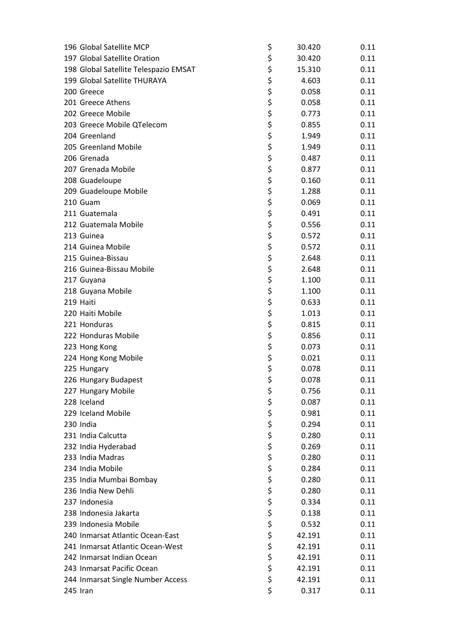| 196 Global Satellite MCP              | \$       | 30.420 | 0.11 |
|---------------------------------------|----------|--------|------|
| 197 Global Satellite Oration          | \$       | 30.420 | 0.11 |
| 198 Global Satellite Telespazio EMSAT | \$       | 15.310 | 0.11 |
| 199 Global Satellite THURAYA          | \$       | 4.603  | 0.11 |
| 200 Greece                            | \$       | 0.058  | 0.11 |
| 201 Greece Athens                     | \$       | 0.058  | 0.11 |
| 202 Greece Mobile                     | \$       | 0.773  | 0.11 |
| 203 Greece Mobile QTelecom            | \$       | 0.855  | 0.11 |
| 204 Greenland                         | \$       | 1.949  | 0.11 |
| 205 Greenland Mobile                  | \$       | 1.949  | 0.11 |
| 206 Grenada                           | \$       | 0.487  | 0.11 |
| 207 Grenada Mobile                    | \$       | 0.877  | 0.11 |
| 208 Guadeloupe                        | \$       | 0.160  | 0.11 |
| 209 Guadeloupe Mobile                 | \$       | 1.288  | 0.11 |
| 210 Guam                              | \$       | 0.069  | 0.11 |
| 211 Guatemala                         | \$       | 0.491  | 0.11 |
| 212 Guatemala Mobile                  | \$       | 0.556  | 0.11 |
| 213 Guinea                            | \$       | 0.572  | 0.11 |
| 214 Guinea Mobile                     | \$       | 0.572  | 0.11 |
| 215 Guinea-Bissau                     | \$       | 2.648  | 0.11 |
| 216 Guinea-Bissau Mobile              | \$       | 2.648  | 0.11 |
| 217 Guyana                            | \$       | 1.100  | 0.11 |
| 218 Guyana Mobile                     | \$       | 1.100  | 0.11 |
| 219 Haiti                             | \$       | 0.633  | 0.11 |
| 220 Haiti Mobile                      | \$       | 1.013  | 0.11 |
| 221 Honduras                          |          | 0.815  | 0.11 |
| 222 Honduras Mobile                   | \$<br>\$ | 0.856  |      |
|                                       |          |        | 0.11 |
| 223 Hong Kong                         | \$       | 0.073  | 0.11 |
| 224 Hong Kong Mobile                  | \$       | 0.021  | 0.11 |
| 225 Hungary                           | \$       | 0.078  | 0.11 |
| 226 Hungary Budapest                  | \$       | 0.078  | 0.11 |
| 227 Hungary Mobile                    | \$       | 0.756  | 0.11 |
| 228 Iceland                           | \$       | 0.087  | 0.11 |
| 229 Iceland Mobile                    | \$       | 0.981  | 0.11 |
| 230 India                             | \$       | 0.294  | 0.11 |
| 231 India Calcutta                    | \$       | 0.280  | 0.11 |
| 232 India Hyderabad                   | \$<br>\$ | 0.269  | 0.11 |
| 233 India Madras                      |          | 0.280  | 0.11 |
| 234 India Mobile                      | \$<br>\$ | 0.284  | 0.11 |
| 235 India Mumbai Bombay               |          | 0.280  | 0.11 |
| 236 India New Dehli                   | \$       | 0.280  | 0.11 |
| 237 Indonesia                         | \$       | 0.334  | 0.11 |
| 238 Indonesia Jakarta                 | \$       | 0.138  | 0.11 |
| 239 Indonesia Mobile                  | \$       | 0.532  | 0.11 |
| 240 Inmarsat Atlantic Ocean-East      | \$       | 42.191 | 0.11 |
| 241 Inmarsat Atlantic Ocean-West      | \$       | 42.191 | 0.11 |
| 242 Inmarsat Indian Ocean             | \$       | 42.191 | 0.11 |
| 243 Inmarsat Pacific Ocean            | \$       | 42.191 | 0.11 |
| 244 Inmarsat Single Number Access     | \$       | 42.191 | 0.11 |
| 245 Iran                              | \$       | 0.317  | 0.11 |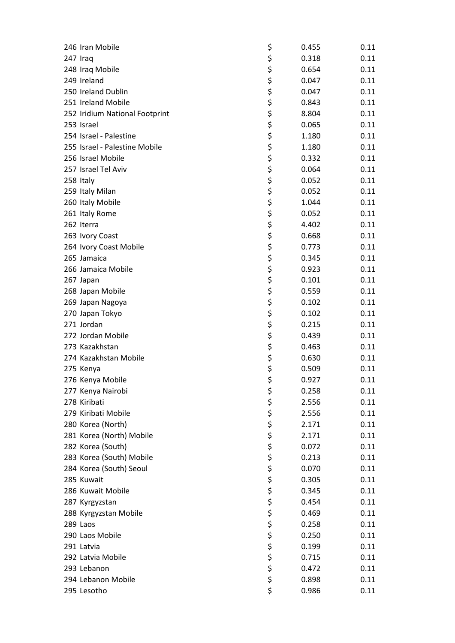| 246 Iran Mobile                | \$       | 0.455 | 0.11 |
|--------------------------------|----------|-------|------|
| 247 Iraq                       | \$       | 0.318 | 0.11 |
| 248 Iraq Mobile                | \$       | 0.654 | 0.11 |
| 249 Ireland                    | \$       | 0.047 | 0.11 |
| 250 Ireland Dublin             | \$       | 0.047 | 0.11 |
| 251 Ireland Mobile             | \$       | 0.843 | 0.11 |
| 252 Iridium National Footprint | \$       | 8.804 | 0.11 |
| 253 Israel                     | \$       | 0.065 | 0.11 |
| 254 Israel - Palestine         | \$       | 1.180 | 0.11 |
| 255 Israel - Palestine Mobile  | \$       | 1.180 | 0.11 |
| 256 Israel Mobile              | \$       | 0.332 | 0.11 |
| 257 Israel Tel Aviv            | \$       | 0.064 | 0.11 |
| 258 Italy                      | \$       | 0.052 | 0.11 |
| 259 Italy Milan                | \$       | 0.052 | 0.11 |
| 260 Italy Mobile               | \$       | 1.044 | 0.11 |
| 261 Italy Rome                 | \$       | 0.052 | 0.11 |
| 262 Iterra                     | \$       | 4.402 | 0.11 |
| 263 Ivory Coast                | \$       | 0.668 | 0.11 |
| 264 Ivory Coast Mobile         | \$       | 0.773 | 0.11 |
| 265 Jamaica                    | \$       | 0.345 | 0.11 |
| 266 Jamaica Mobile             | \$       | 0.923 | 0.11 |
| 267 Japan                      | \$       | 0.101 | 0.11 |
| 268 Japan Mobile               | \$       | 0.559 | 0.11 |
| 269 Japan Nagoya               | \$       | 0.102 | 0.11 |
| 270 Japan Tokyo                | \$       | 0.102 | 0.11 |
| 271 Jordan                     | \$       | 0.215 | 0.11 |
| 272 Jordan Mobile              | \$       | 0.439 | 0.11 |
| 273 Kazakhstan                 | \$       |       |      |
|                                |          | 0.463 | 0.11 |
| 274 Kazakhstan Mobile          | \$       | 0.630 | 0.11 |
| 275 Kenya                      | \$       | 0.509 | 0.11 |
| 276 Kenya Mobile               | \$       | 0.927 | 0.11 |
| 277 Kenya Nairobi              | \$       | 0.258 | 0.11 |
| 278 Kiribati                   | \$       | 2.556 | 0.11 |
| 279 Kiribati Mobile            | \$       | 2.556 | 0.11 |
| 280 Korea (North)              | \$       | 2.171 | 0.11 |
| 281 Korea (North) Mobile       | \$       | 2.171 | 0.11 |
| 282 Korea (South)              | \$<br>\$ | 0.072 | 0.11 |
| 283 Korea (South) Mobile       |          | 0.213 | 0.11 |
| 284 Korea (South) Seoul        | \$<br>\$ | 0.070 | 0.11 |
| 285 Kuwait                     |          | 0.305 | 0.11 |
| 286 Kuwait Mobile              | \$       | 0.345 | 0.11 |
| 287 Kyrgyzstan                 | \$       | 0.454 | 0.11 |
| 288 Kyrgyzstan Mobile          | \$       | 0.469 | 0.11 |
| 289 Laos                       | \$<br>\$ | 0.258 | 0.11 |
| 290 Laos Mobile                |          | 0.250 | 0.11 |
| 291 Latvia                     | \$       | 0.199 | 0.11 |
| 292 Latvia Mobile              | \$       | 0.715 | 0.11 |
| 293 Lebanon                    | \$       | 0.472 | 0.11 |
| 294 Lebanon Mobile             | \$       | 0.898 | 0.11 |
| 295 Lesotho                    | \$       | 0.986 | 0.11 |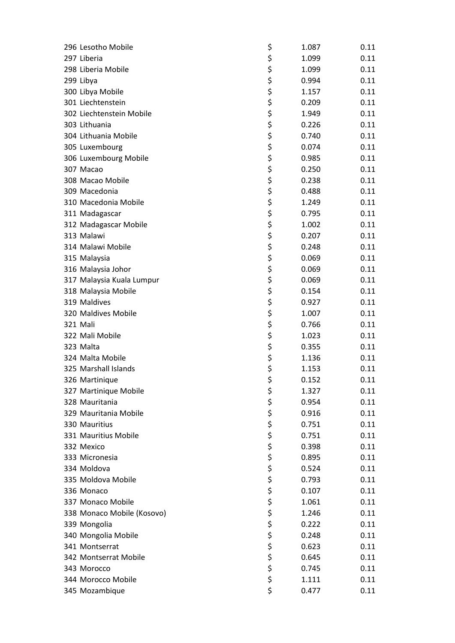| 296 Lesotho Mobile          | \$       | 1.087 | 0.11 |
|-----------------------------|----------|-------|------|
| 297 Liberia                 | \$       | 1.099 | 0.11 |
| 298 Liberia Mobile          | \$       | 1.099 | 0.11 |
| 299 Libya                   | \$       | 0.994 | 0.11 |
| 300 Libya Mobile            | \$       | 1.157 | 0.11 |
| 301 Liechtenstein           | \$       | 0.209 | 0.11 |
| 302 Liechtenstein Mobile    | \$       | 1.949 | 0.11 |
| 303 Lithuania               | \$       | 0.226 | 0.11 |
| 304 Lithuania Mobile        | \$       | 0.740 | 0.11 |
| 305 Luxembourg              | \$       | 0.074 | 0.11 |
| 306 Luxembourg Mobile       | \$       | 0.985 | 0.11 |
| 307 Macao                   | \$       | 0.250 | 0.11 |
| 308 Macao Mobile            | \$       | 0.238 | 0.11 |
| 309 Macedonia               | \$       | 0.488 | 0.11 |
| 310 Macedonia Mobile        | \$       | 1.249 | 0.11 |
| 311 Madagascar              | \$       | 0.795 | 0.11 |
| 312 Madagascar Mobile       | \$       | 1.002 | 0.11 |
| 313 Malawi                  | \$       | 0.207 | 0.11 |
| 314 Malawi Mobile           | \$       | 0.248 | 0.11 |
| 315 Malaysia                | \$       | 0.069 | 0.11 |
| 316 Malaysia Johor          | \$       | 0.069 | 0.11 |
| 317 Malaysia Kuala Lumpur   | \$       | 0.069 | 0.11 |
| 318 Malaysia Mobile         | \$       | 0.154 | 0.11 |
| 319 Maldives                | \$       | 0.927 | 0.11 |
| 320 Maldives Mobile         | \$       | 1.007 | 0.11 |
|                             |          | 0.766 |      |
| 321 Mali<br>322 Mali Mobile | \$<br>\$ |       | 0.11 |
|                             |          | 1.023 | 0.11 |
| 323 Malta                   | \$       | 0.355 | 0.11 |
| 324 Malta Mobile            | \$       | 1.136 | 0.11 |
| 325 Marshall Islands        | \$       | 1.153 | 0.11 |
| 326 Martinique              | \$       | 0.152 | 0.11 |
| 327 Martinique Mobile       | \$       | 1.327 | 0.11 |
| 328 Mauritania              | \$       | 0.954 | 0.11 |
| 329 Mauritania Mobile       | \$       | 0.916 | 0.11 |
| 330 Mauritius               | \$       | 0.751 | 0.11 |
| 331 Mauritius Mobile        | \$       | 0.751 | 0.11 |
| 332 Mexico                  | \$<br>\$ | 0.398 | 0.11 |
| 333 Micronesia              |          | 0.895 | 0.11 |
| 334 Moldova                 | \$       | 0.524 | 0.11 |
| 335 Moldova Mobile          | \$       | 0.793 | 0.11 |
| 336 Monaco                  | \$       | 0.107 | 0.11 |
| 337 Monaco Mobile           | \$       | 1.061 | 0.11 |
| 338 Monaco Mobile (Kosovo)  | \$       | 1.246 | 0.11 |
| 339 Mongolia                | \$       | 0.222 | 0.11 |
| 340 Mongolia Mobile         | \$       | 0.248 | 0.11 |
| 341 Montserrat              | \$       | 0.623 | 0.11 |
| 342 Montserrat Mobile       | \$       | 0.645 | 0.11 |
| 343 Morocco                 | \$       | 0.745 | 0.11 |
| 344 Morocco Mobile          | \$       | 1.111 | 0.11 |
| 345 Mozambique              | \$       | 0.477 | 0.11 |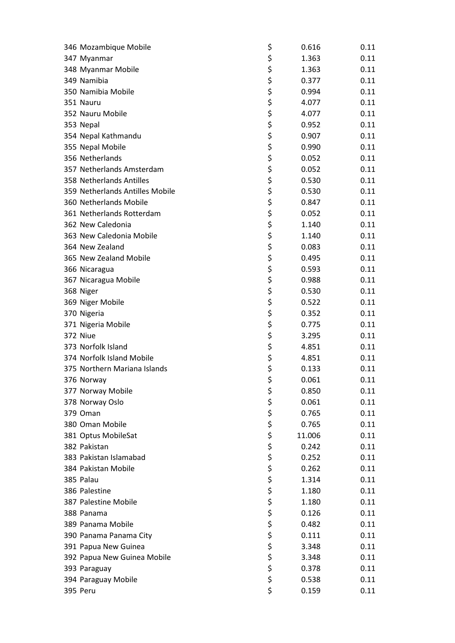| 346 Mozambique Mobile           | \$       | 0.616  | 0.11 |
|---------------------------------|----------|--------|------|
| 347 Myanmar                     | \$       | 1.363  | 0.11 |
| 348 Myanmar Mobile              | \$       | 1.363  | 0.11 |
| 349 Namibia                     | \$       | 0.377  | 0.11 |
| 350 Namibia Mobile              | \$       | 0.994  | 0.11 |
| 351 Nauru                       | \$       | 4.077  | 0.11 |
| 352 Nauru Mobile                | \$       | 4.077  | 0.11 |
| 353 Nepal                       | \$       | 0.952  | 0.11 |
| 354 Nepal Kathmandu             | \$       | 0.907  | 0.11 |
| 355 Nepal Mobile                | \$       | 0.990  | 0.11 |
| 356 Netherlands                 | \$       | 0.052  | 0.11 |
| 357 Netherlands Amsterdam       | \$       | 0.052  | 0.11 |
| 358 Netherlands Antilles        | \$       | 0.530  | 0.11 |
| 359 Netherlands Antilles Mobile | \$       | 0.530  | 0.11 |
| 360 Netherlands Mobile          | \$       | 0.847  | 0.11 |
| 361 Netherlands Rotterdam       | \$       | 0.052  | 0.11 |
| 362 New Caledonia               | \$       | 1.140  | 0.11 |
| 363 New Caledonia Mobile        | \$       | 1.140  | 0.11 |
| 364 New Zealand                 | \$       | 0.083  | 0.11 |
| 365 New Zealand Mobile          | \$       | 0.495  | 0.11 |
| 366 Nicaragua                   | \$       | 0.593  | 0.11 |
| 367 Nicaragua Mobile            | \$       | 0.988  | 0.11 |
| 368 Niger                       | \$       | 0.530  | 0.11 |
| 369 Niger Mobile                | \$       | 0.522  | 0.11 |
| 370 Nigeria                     | \$       | 0.352  | 0.11 |
| 371 Nigeria Mobile              | \$       | 0.775  | 0.11 |
| 372 Niue                        | \$       |        | 0.11 |
| 373 Norfolk Island              | \$       | 3.295  |      |
| 374 Norfolk Island Mobile       |          | 4.851  | 0.11 |
|                                 | \$       | 4.851  | 0.11 |
| 375 Northern Mariana Islands    | \$       | 0.133  | 0.11 |
| 376 Norway                      | \$       | 0.061  | 0.11 |
| 377 Norway Mobile               | \$       | 0.850  | 0.11 |
| 378 Norway Oslo                 | \$       | 0.061  | 0.11 |
| 379 Oman                        | \$       | 0.765  | 0.11 |
| 380 Oman Mobile                 | \$       | 0.765  | 0.11 |
| 381 Optus MobileSat             | \$       | 11.006 | 0.11 |
| 382 Pakistan                    | \$       | 0.242  | 0.11 |
| 383 Pakistan Islamabad          | \$       | 0.252  | 0.11 |
| 384 Pakistan Mobile             | \$<br>\$ | 0.262  | 0.11 |
| 385 Palau                       |          | 1.314  | 0.11 |
| 386 Palestine                   | \$       | 1.180  | 0.11 |
| 387 Palestine Mobile            | \$       | 1.180  | 0.11 |
| 388 Panama                      | \$       | 0.126  | 0.11 |
| 389 Panama Mobile               | \$       | 0.482  | 0.11 |
| 390 Panama Panama City          | \$       | 0.111  | 0.11 |
| 391 Papua New Guinea            | \$       | 3.348  | 0.11 |
| 392 Papua New Guinea Mobile     | \$       | 3.348  | 0.11 |
| 393 Paraguay                    | \$       | 0.378  | 0.11 |
| 394 Paraguay Mobile             | \$       | 0.538  | 0.11 |
| 395 Peru                        | \$       | 0.159  | 0.11 |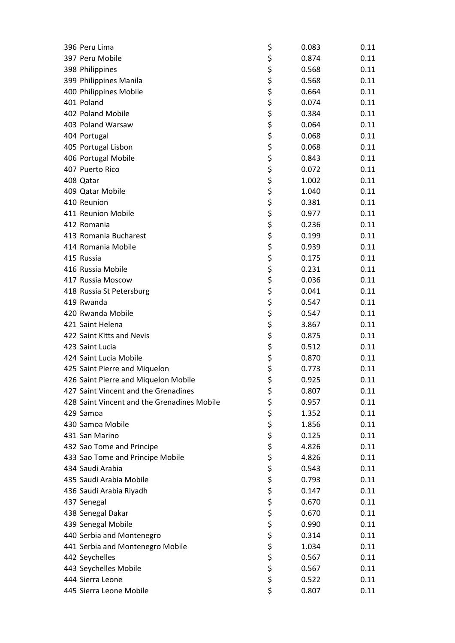| 396 Peru Lima                               | \$       | 0.083 | 0.11 |
|---------------------------------------------|----------|-------|------|
| 397 Peru Mobile                             | \$       | 0.874 | 0.11 |
| 398 Philippines                             | \$       | 0.568 | 0.11 |
| 399 Philippines Manila                      | \$       | 0.568 | 0.11 |
| 400 Philippines Mobile                      | \$       | 0.664 | 0.11 |
| 401 Poland                                  | \$       | 0.074 | 0.11 |
| 402 Poland Mobile                           | \$       | 0.384 | 0.11 |
| 403 Poland Warsaw                           | \$       | 0.064 | 0.11 |
| 404 Portugal                                | \$       | 0.068 | 0.11 |
| 405 Portugal Lisbon                         | \$       | 0.068 | 0.11 |
| 406 Portugal Mobile                         | \$       | 0.843 | 0.11 |
| 407 Puerto Rico                             | \$       | 0.072 | 0.11 |
| 408 Qatar                                   | \$       | 1.002 | 0.11 |
| 409 Qatar Mobile                            | \$       | 1.040 | 0.11 |
| 410 Reunion                                 | \$       | 0.381 | 0.11 |
| 411 Reunion Mobile                          | \$       | 0.977 | 0.11 |
| 412 Romania                                 | \$       | 0.236 | 0.11 |
| 413 Romania Bucharest                       | \$       | 0.199 | 0.11 |
| 414 Romania Mobile                          | \$       | 0.939 | 0.11 |
| 415 Russia                                  | \$       | 0.175 | 0.11 |
| 416 Russia Mobile                           | \$       | 0.231 | 0.11 |
| 417 Russia Moscow                           | \$       | 0.036 | 0.11 |
| 418 Russia St Petersburg                    | \$       | 0.041 | 0.11 |
| 419 Rwanda                                  | \$       | 0.547 | 0.11 |
| 420 Rwanda Mobile                           | \$       | 0.547 | 0.11 |
| 421 Saint Helena                            | \$       | 3.867 | 0.11 |
| 422 Saint Kitts and Nevis                   | \$       | 0.875 | 0.11 |
| 423 Saint Lucia                             | \$       | 0.512 | 0.11 |
| 424 Saint Lucia Mobile                      | \$       | 0.870 | 0.11 |
|                                             |          |       |      |
| 425 Saint Pierre and Miquelon               | \$<br>\$ | 0.773 | 0.11 |
| 426 Saint Pierre and Miquelon Mobile        |          | 0.925 | 0.11 |
| 427 Saint Vincent and the Grenadines        | \$       | 0.807 | 0.11 |
| 428 Saint Vincent and the Grenadines Mobile | \$       | 0.957 | 0.11 |
| 429 Samoa                                   | \$       | 1.352 | 0.11 |
| 430 Samoa Mobile                            | \$       | 1.856 | 0.11 |
| 431 San Marino                              | \$       | 0.125 | 0.11 |
| 432 Sao Tome and Principe                   | \$       | 4.826 | 0.11 |
| 433 Sao Tome and Principe Mobile            | \$       | 4.826 | 0.11 |
| 434 Saudi Arabia                            | \$       | 0.543 | 0.11 |
| 435 Saudi Arabia Mobile                     | \$       | 0.793 | 0.11 |
| 436 Saudi Arabia Riyadh                     | \$       | 0.147 | 0.11 |
| 437 Senegal                                 | \$       | 0.670 | 0.11 |
| 438 Senegal Dakar                           | \$       | 0.670 | 0.11 |
| 439 Senegal Mobile                          | \$       | 0.990 | 0.11 |
| 440 Serbia and Montenegro                   | \$       | 0.314 | 0.11 |
| 441 Serbia and Montenegro Mobile            | \$       | 1.034 | 0.11 |
| 442 Seychelles                              | \$       | 0.567 | 0.11 |
| 443 Seychelles Mobile                       | \$       | 0.567 | 0.11 |
| 444 Sierra Leone                            | \$       | 0.522 | 0.11 |
| 445 Sierra Leone Mobile                     | \$       | 0.807 | 0.11 |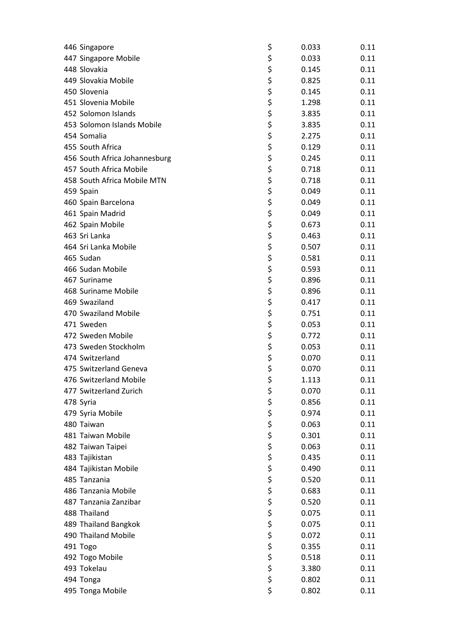| 446 Singapore                 | \$<br>0.033 | 0.11 |
|-------------------------------|-------------|------|
| 447 Singapore Mobile          | \$<br>0.033 | 0.11 |
| 448 Slovakia                  | \$<br>0.145 | 0.11 |
| 449 Slovakia Mobile           | \$<br>0.825 | 0.11 |
| 450 Slovenia                  | \$<br>0.145 | 0.11 |
| 451 Slovenia Mobile           | \$<br>1.298 | 0.11 |
| 452 Solomon Islands           | \$<br>3.835 | 0.11 |
| 453 Solomon Islands Mobile    | \$<br>3.835 | 0.11 |
| 454 Somalia                   | \$<br>2.275 | 0.11 |
| 455 South Africa              | \$<br>0.129 | 0.11 |
| 456 South Africa Johannesburg | \$<br>0.245 | 0.11 |
| 457 South Africa Mobile       | \$<br>0.718 | 0.11 |
| 458 South Africa Mobile MTN   | \$<br>0.718 | 0.11 |
| 459 Spain                     | \$<br>0.049 | 0.11 |
| 460 Spain Barcelona           | \$<br>0.049 | 0.11 |
| 461 Spain Madrid              | \$<br>0.049 | 0.11 |
| 462 Spain Mobile              | \$<br>0.673 | 0.11 |
| 463 Sri Lanka                 | \$<br>0.463 | 0.11 |
| 464 Sri Lanka Mobile          | \$<br>0.507 | 0.11 |
| 465 Sudan                     | \$<br>0.581 | 0.11 |
| 466 Sudan Mobile              | \$<br>0.593 | 0.11 |
| 467 Suriname                  | \$<br>0.896 | 0.11 |
| 468 Suriname Mobile           | \$<br>0.896 | 0.11 |
| 469 Swaziland                 | \$<br>0.417 | 0.11 |
| 470 Swaziland Mobile          | \$<br>0.751 | 0.11 |
| 471 Sweden                    | \$<br>0.053 | 0.11 |
| 472 Sweden Mobile             | \$<br>0.772 | 0.11 |
| 473 Sweden Stockholm          | \$<br>0.053 | 0.11 |
| 474 Switzerland               | \$          |      |
|                               | 0.070       | 0.11 |
| 475 Switzerland Geneva        | \$<br>0.070 | 0.11 |
| 476 Switzerland Mobile        | \$<br>1.113 | 0.11 |
| 477 Switzerland Zurich        | \$<br>0.070 | 0.11 |
| 478 Syria                     | \$<br>0.856 | 0.11 |
| 479 Syria Mobile              | \$<br>0.974 | 0.11 |
| 480 Taiwan                    | \$<br>0.063 | 0.11 |
| 481 Taiwan Mobile             | \$<br>0.301 | 0.11 |
| 482 Taiwan Taipei             | \$<br>0.063 | 0.11 |
| 483 Tajikistan                | \$<br>0.435 | 0.11 |
| 484 Tajikistan Mobile         | \$<br>0.490 | 0.11 |
| 485 Tanzania                  | \$<br>0.520 | 0.11 |
| 486 Tanzania Mobile           | \$<br>0.683 | 0.11 |
| 487 Tanzania Zanzibar         | \$<br>0.520 | 0.11 |
| 488 Thailand                  | \$<br>0.075 | 0.11 |
| 489 Thailand Bangkok          | \$<br>0.075 | 0.11 |
| 490 Thailand Mobile           | \$<br>0.072 | 0.11 |
| 491 Togo                      | \$<br>0.355 | 0.11 |
| 492 Togo Mobile               | \$<br>0.518 | 0.11 |
| 493 Tokelau                   | \$<br>3.380 | 0.11 |
| 494 Tonga                     | \$<br>0.802 | 0.11 |
| 495 Tonga Mobile              | \$<br>0.802 | 0.11 |